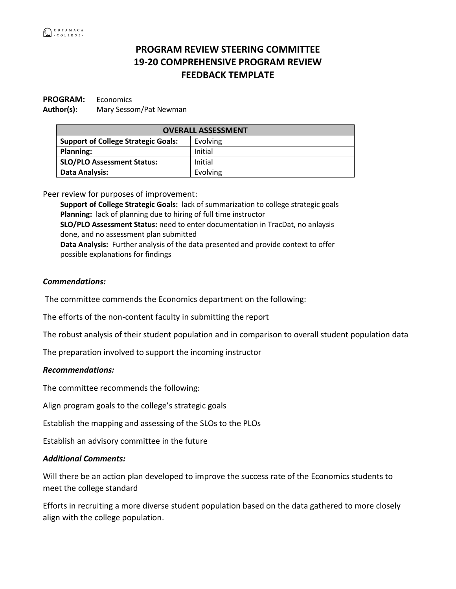## **PROGRAM REVIEW STEERING COMMITTEE 19-20 COMPREHENSIVE PROGRAM REVIEW FEEDBACK TEMPLATE**

# **PROGRAM:** Economics

**Author(s):** Mary Sessom/Pat Newman

| <b>OVERALL ASSESSMENT</b>                  |          |
|--------------------------------------------|----------|
| <b>Support of College Strategic Goals:</b> | Evolving |
| <b>Planning:</b>                           | Initial  |
| <b>SLO/PLO Assessment Status:</b>          | Initial  |
| Data Analysis:                             | Evolving |

Peer review for purposes of improvement:

**Support of College Strategic Goals:** lack of summarization to college strategic goals **Planning:** lack of planning due to hiring of full time instructor **SLO/PLO Assessment Status:** need to enter documentation in TracDat, no anlaysis done, and no assessment plan submitted **Data Analysis:** Further analysis of the data presented and provide context to offer possible explanations for findings

### *Commendations:*

The committee commends the Economics department on the following:

The efforts of the non-content faculty in submitting the report

The robust analysis of their student population and in comparison to overall student population data

The preparation involved to support the incoming instructor

#### *Recommendations:*

The committee recommends the following:

Align program goals to the college's strategic goals

Establish the mapping and assessing of the SLOs to the PLOs

Establish an advisory committee in the future

### *Additional Comments:*

Will there be an action plan developed to improve the success rate of the Economics students to meet the college standard

Efforts in recruiting a more diverse student population based on the data gathered to more closely align with the college population.